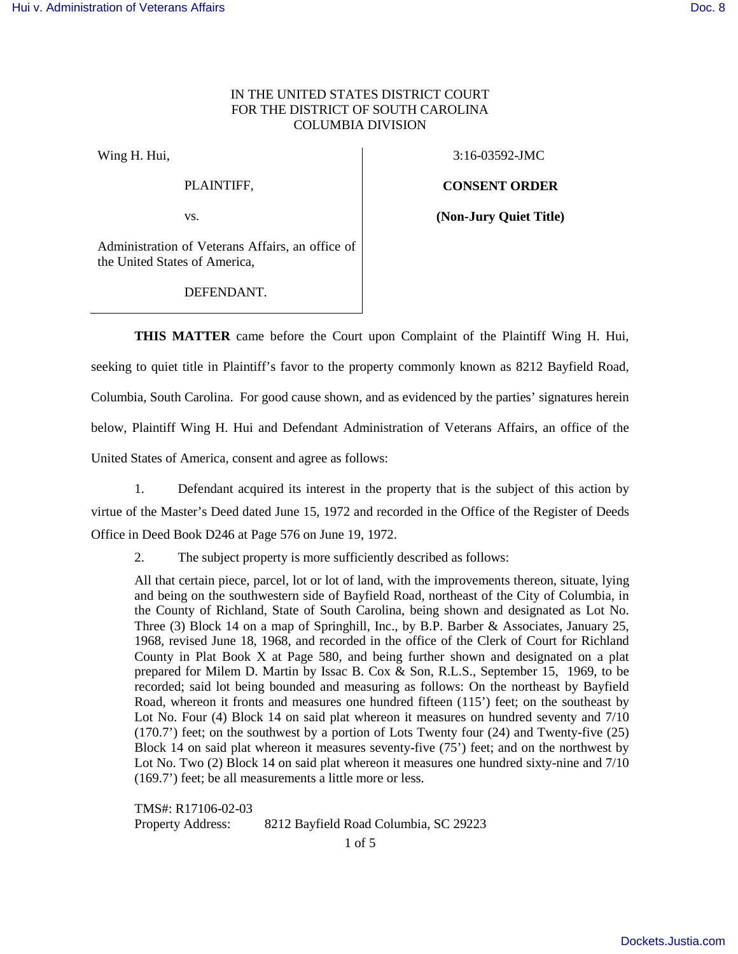### IN THE UNITED STATES DISTRICT COURT FOR THE DISTRICT OF SOUTH CAROLINA COLUMBIA DIVISION

Wing H. Hui,

PLAINTIFF,

vs.

3:16-03592-JMC

**CONSENT ORDER**

**(Non-Jury Quiet Title)**

Administration of Veterans Affairs, an office of the United States of America,

DEFENDANT.

**THIS MATTER** came before the Court upon Complaint of the Plaintiff Wing H. Hui, seeking to quiet title in Plaintiff's favor to the property commonly known as 8212 Bayfield Road, Columbia, South Carolina. For good cause shown, and as evidenced by the parties' signatures herein below, Plaintiff Wing H. Hui and Defendant Administration of Veterans Affairs, an office of the United States of America, consent and agree as follows:

1. Defendant acquired its interest in the property that is the subject of this action by virtue of the Master's Deed dated June 15, 1972 and recorded in the Office of the Register of Deeds Office in Deed Book D246 at Page 576 on June 19, 1972.

2. The subject property is more sufficiently described as follows:

All that certain piece, parcel, lot or lot of land, with the improvements thereon, situate, lying and being on the southwestern side of Bayfield Road, northeast of the City of Columbia, in the County of Richland, State of South Carolina, being shown and designated as Lot No. Three (3) Block 14 on a map of Springhill, Inc., by B.P. Barber & Associates, January 25, 1968, revised June 18, 1968, and recorded in the office of the Clerk of Court for Richland County in Plat Book X at Page 580, and being further shown and designated on a plat prepared for Milem D. Martin by Issac B. Cox & Son, R.L.S., September 15, 1969, to be recorded; said lot being bounded and measuring as follows: On the northeast by Bayfield Road, whereon it fronts and measures one hundred fifteen (115') feet; on the southeast by Lot No. Four (4) Block 14 on said plat whereon it measures on hundred seventy and  $7/10$ (170.7') feet; on the southwest by a portion of Lots Twenty four (24) and Twenty-five (25) Block 14 on said plat whereon it measures seventy-five (75') feet; and on the northwest by Lot No. Two (2) Block 14 on said plat whereon it measures one hundred sixty-nine and 7/10 (169.7') feet; be all measurements a little more or less.

TMS#: R17106-02-03 Property Address: 8212 Bayfield Road Columbia, SC 29223

1 of 5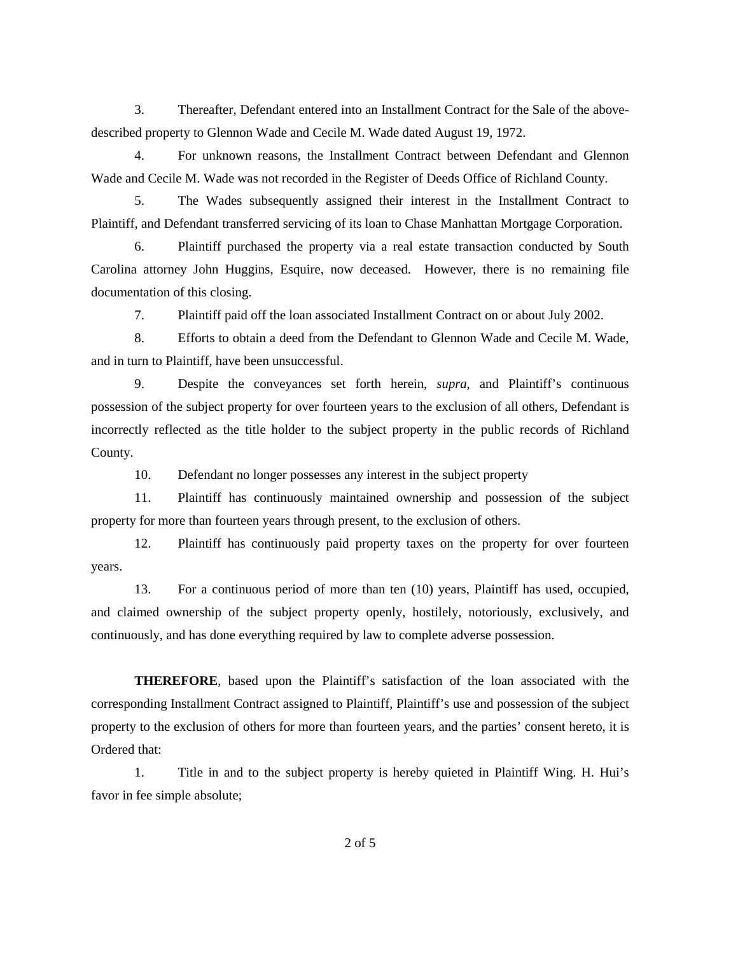3. Thereafter, Defendant entered into an Installment Contract for the Sale of the abovedescribed property to Glennon Wade and Cecile M. Wade dated August 19, 1972.

4. For unknown reasons, the Installment Contract between Defendant and Glennon Wade and Cecile M. Wade was not recorded in the Register of Deeds Office of Richland County.

5. The Wades subsequently assigned their interest in the Installment Contract to Plaintiff, and Defendant transferred servicing of its loan to Chase Manhattan Mortgage Corporation.

6. Plaintiff purchased the property via a real estate transaction conducted by South Carolina attorney John Huggins, Esquire, now deceased. However, there is no remaining file documentation of this closing.

7. Plaintiff paid off the loan associated Installment Contract on or about July 2002.

8. Efforts to obtain a deed from the Defendant to Glennon Wade and Cecile M. Wade, and in turn to Plaintiff, have been unsuccessful.

9. Despite the conveyances set forth herein, *supra*, and Plaintiff's continuous possession of the subject property for over fourteen years to the exclusion of all others, Defendant is incorrectly reflected as the title holder to the subject property in the public records of Richland County.

10. Defendant no longer possesses any interest in the subject property

11. Plaintiff has continuously maintained ownership and possession of the subject property for more than fourteen years through present, to the exclusion of others.

12. Plaintiff has continuously paid property taxes on the property for over fourteen years.

13. For a continuous period of more than ten (10) years, Plaintiff has used, occupied, and claimed ownership of the subject property openly, hostilely, notoriously, exclusively, and continuously, and has done everything required by law to complete adverse possession.

**THEREFORE**, based upon the Plaintiff's satisfaction of the loan associated with the corresponding Installment Contract assigned to Plaintiff, Plaintiff's use and possession of the subject property to the exclusion of others for more than fourteen years, and the parties' consent hereto, it is Ordered that:

1. Title in and to the subject property is hereby quieted in Plaintiff Wing. H. Hui's favor in fee simple absolute;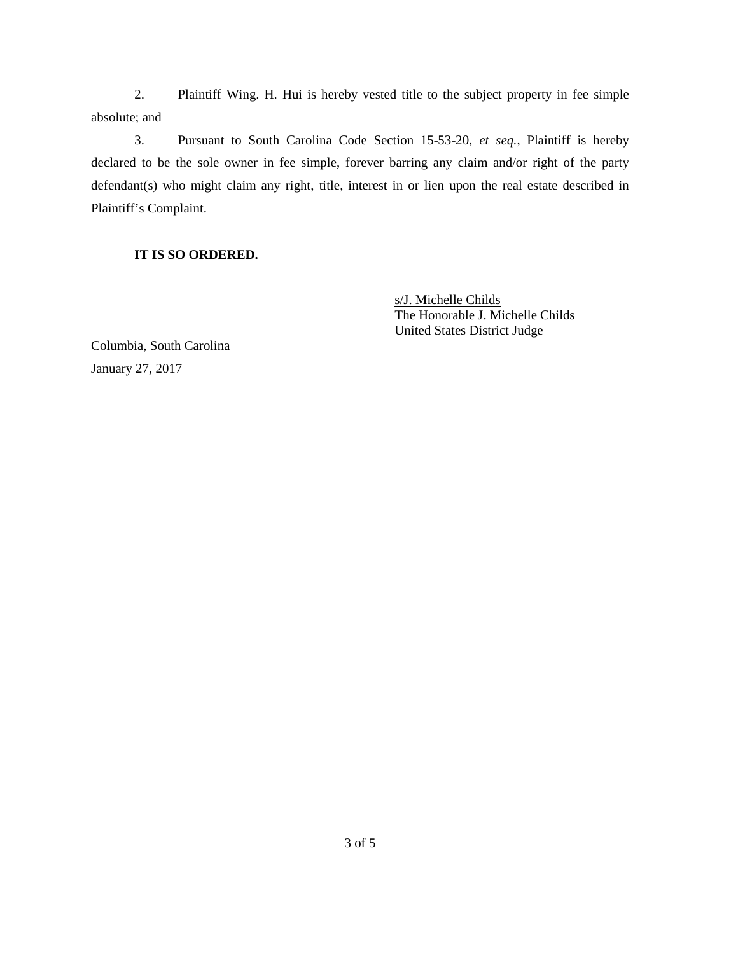2. Plaintiff Wing. H. Hui is hereby vested title to the subject property in fee simple absolute; and

3. Pursuant to South Carolina Code Section 15-53-20, *et seq.*, Plaintiff is hereby declared to be the sole owner in fee simple, forever barring any claim and/or right of the party defendant(s) who might claim any right, title, interest in or lien upon the real estate described in Plaintiff's Complaint.

# **IT IS SO ORDERED.**

s/J. Michelle Childs The Honorable J. Michelle Childs United States District Judge

Columbia, South Carolina January 27, 2017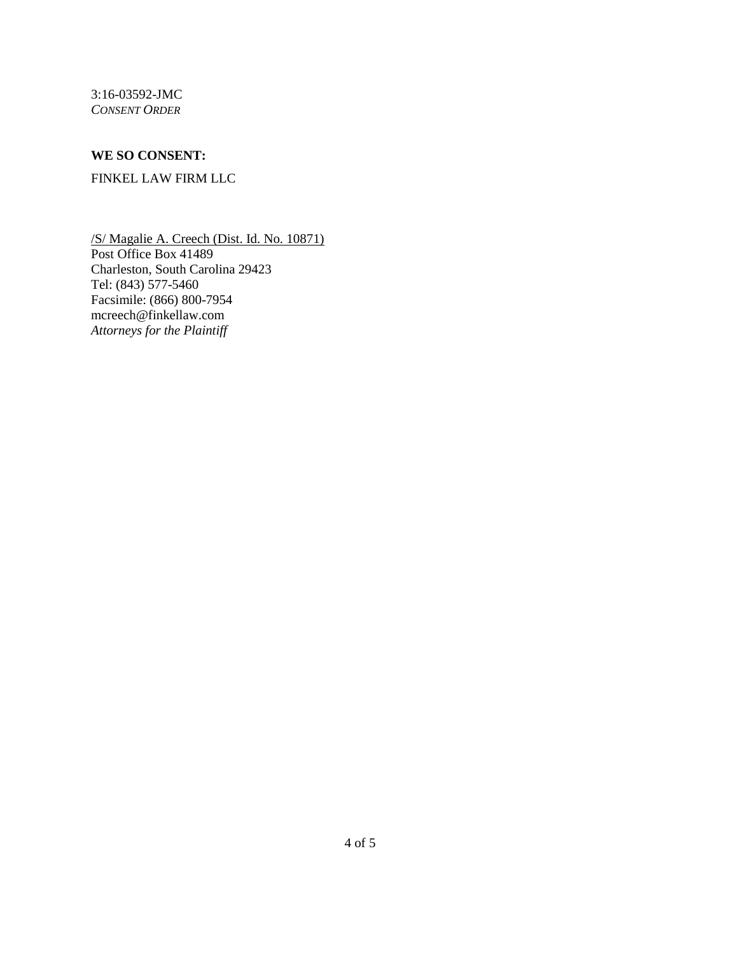3:16-03592-JMC *CONSENT ORDER*

### **WE SO CONSENT:**

### FINKEL LAW FIRM LLC

/S/ Magalie A. Creech (Dist. Id. No. 10871) Post Office Box 41489 Charleston, South Carolina 29423 Tel: (843) 577-5460 Facsimile: (866) 800-7954 mcreech@finkellaw.com *Attorneys for the Plaintiff*